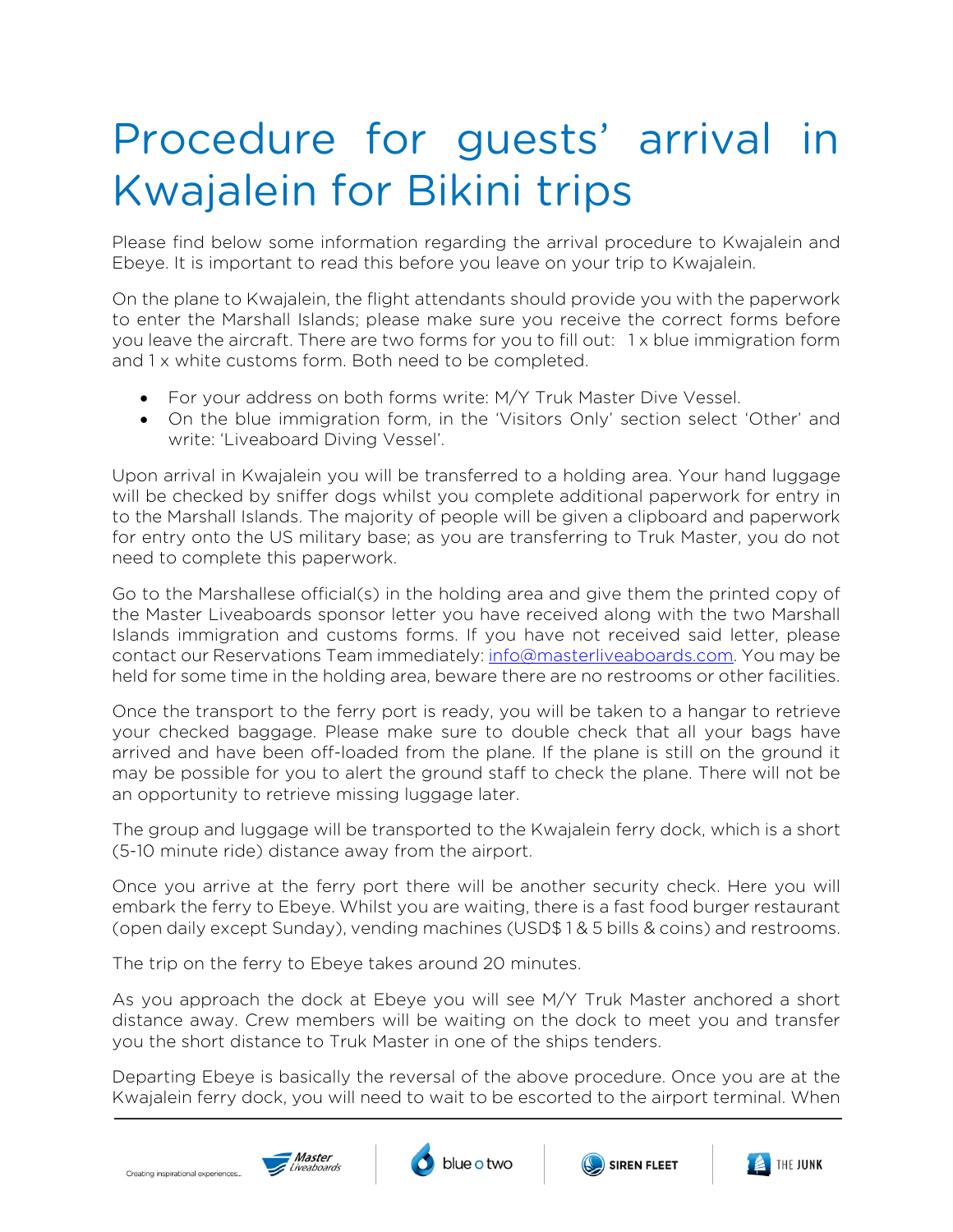## Procedure for guests' arrival in Kwajalein for Bikini trips

Please find below some information regarding the arrival procedure to Kwajalein and Ebeye. It is important to read this before you leave on your trip to Kwajalein.

On the plane to Kwajalein, the flight attendants should provide you with the paperwork to enter the Marshall Islands; please make sure you receive the correct forms before you leave the aircraft. There are two forms for you to fill out: 1 x blue immigration form and 1 x white customs form. Both need to be completed.

- For your address on both forms write: M/Y Truk Master Dive Vessel.
- On the blue immigration form, in the 'Visitors Only' section select 'Other' and write: 'Liveaboard Diving Vessel'.

Upon arrival in Kwajalein you will be transferred to a holding area. Your hand luggage will be checked by sniffer dogs whilst you complete additional paperwork for entry in to the Marshall Islands. The majority of people will be given a clipboard and paperwork for entry onto the US military base; as you are transferring to Truk Master, you do not need to complete this paperwork.

Go to the Marshallese official(s) in the holding area and give them the printed copy of the Master Liveaboards sponsor letter you have received along with the two Marshall Islands immigration and customs forms. If you have not received said letter, please contact our Reservations Team immediately[: info@masterliveaboards.com.](mailto:info@masterliveaboards.com) You may be held for some time in the holding area, beware there are no restrooms or other facilities.

Once the transport to the ferry port is ready, you will be taken to a hangar to retrieve your checked baggage. Please make sure to double check that all your bags have arrived and have been off-loaded from the plane. If the plane is still on the ground it may be possible for you to alert the ground staff to check the plane. There will not be an opportunity to retrieve missing luggage later.

The group and luggage will be transported to the Kwajalein ferry dock, which is a short (5-10 minute ride) distance away from the airport.

Once you arrive at the ferry port there will be another security check. Here you will embark the ferry to Ebeye. Whilst you are waiting, there is a fast food burger restaurant (open daily except Sunday), vending machines (USD\$ 1 & 5 bills & coins) and restrooms.

The trip on the ferry to Ebeye takes around 20 minutes.

As you approach the dock at Ebeye you will see M/Y Truk Master anchored a short distance away. Crew members will be waiting on the dock to meet you and transfer you the short distance to Truk Master in one of the ships tenders.

Departing Ebeye is basically the reversal of the above procedure. Once you are at the Kwajalein ferry dock, you will need to wait to be escorted to the airport terminal. When